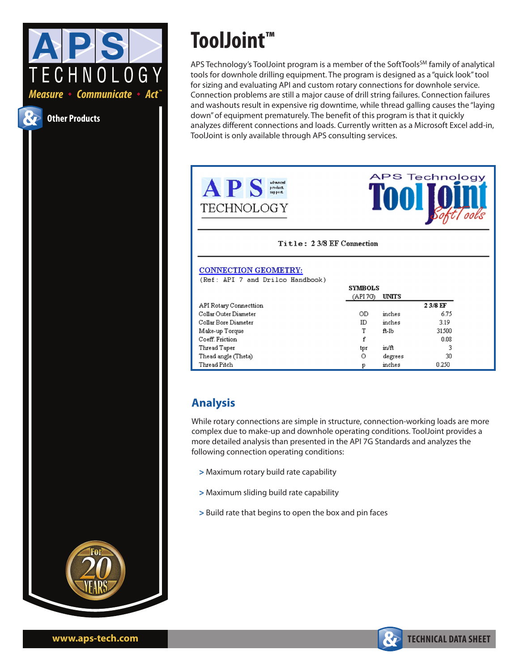

Global perspective. Independent thinking.

## $" | \&$  $1111 -$

 $\frac{1}{3}$   $\frac{1}{4}$   $\frac{1}{4}$   $\frac{1}{5}$   $\frac{1}{4}$   $\frac{1}{5}$   $\frac{1}{4}$   $\frac{1}{5}$   $\frac{1}{5}$   $\frac{1}{6}$   $\frac{1}{5}$   $\frac{1}{6}$   $\frac{1}{5}$   $\frac{1}{6}$   $\frac{1}{5}$   $\frac{1}{6}$   $\frac{1}{6}$   $\frac{1}{6}$   $\frac{1}{6}$   $\frac{1}{6}$   $\frac{1}{6}$   $\frac{1}{6}$  #  $($   $\frac{1}{2}$   $\frac{1}{2}$   $\frac{1}{2}$   $\frac{1}{2}$   $\frac{1}{2}$   $\frac{1}{2}$   $\frac{1}{2}$   $\frac{1}{2}$   $\frac{1}{2}$   $\frac{1}{2}$   $\frac{1}{2}$   $\frac{1}{2}$   $\frac{1}{2}$   $\frac{1}{2}$   $\frac{1}{2}$   $\frac{1}{2}$   $\frac{1}{2}$   $\frac{1}{2}$   $\frac{1}{2}$   $\frac{1}{2}$   $\frac{1}{2}$   $\frac{1$  $\frac{1}{3}$ ,  $\frac{1}{4}$   $\frac{1}{3}$   $\frac{1}{8}$   $\frac{1}{8}$   $\frac{1}{8}$   $\frac{1}{8}$   $\frac{1}{1}$   $\frac{1}{8}$   $\frac{1}{1}$   $\frac{1}{1}$   $\frac{1}{1}$   $\frac{1}{1}$   $\frac{1}{1}$   $\frac{1}{1}$   $\frac{1}{1}$   $\frac{1}{1}$   $\frac{1}{1}$   $\frac{1}{1}$   $\frac{1}{1}$   $\frac{1}{1}$   $\frac{1}{1}$  # !./ ( ' #)  $$$ ##  $)$   $$$ #( # !\$ ( \*'' #)!.,')) # (  $\sqrt{5}(5) - 1$  #  $$1 \text{ s}, $1 \text{ s}, $2 \text{ s}, $4$ \text{ s}, $4 \text{ s}, $4 \text{ s}, $4 \text{ s}, $4 \text{ s}, $4 \text{ s}, $4 \text{ s}, $4 \text{ s}, $4 \text{ s}, $4 \text{ s}, $4 \text{ s}, $4 \text{ s}, $4 \text{ s}, $4 \text{ s}, $4 \text{ s}, $4 \text{ s}, $4 \text{ s}, $4 \text{ s}, $4 \text{ s}, $4 \text{ s}, $4 \text{ s}, $4 \text{ s}, $4 \text{ s}, $4 \text{ s}, $4 \text{ s}, $4 \text{ s}, $4 \text{ s}, $4 \text{ s}, $4$ 



 $\left(1 \right.$  '  $\left(5\right)$  '.  $\left(5 \# 4$  )  $\left(5 \# 6\right)$  '  $\left(1 \# 6\right)$ '\* )\*'  $\left(5 \# 4$  )  $\left(5 \# 6\right)$   $\left(1 \# 6\right)$  ( $\left(1 \# 6\right)$ "\\$' ) ! # ! (() #\%' (\\pep\) \end{math} # ) \end{math} ) #  $'$  ( # # !./ ()  $$!!$ \$, # \$## )\$#\$%')# \$#)\$#(

 $-$  " \*" '\$) ', \*!' ) % !).  $-$  " \*" (! # \*!') % !). \*!') )  $\frac{1}{2}$  # ( ) \$ \$% # ) \$ - # % # (